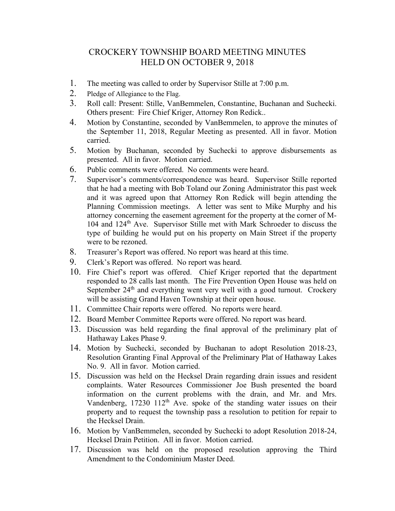## CROCKERY TOWNSHIP BOARD MEETING MINUTES HELD ON OCTOBER 9, 2018

- 1. The meeting was called to order by Supervisor Stille at 7:00 p.m.
- 2. Pledge of Allegiance to the Flag.
- 3. Roll call: Present: Stille, VanBemmelen, Constantine, Buchanan and Suchecki. Others present: Fire Chief Kriger, Attorney Ron Redick..
- 4. Motion by Constantine, seconded by VanBemmelen, to approve the minutes of the September 11, 2018, Regular Meeting as presented. All in favor. Motion carried.
- 5. Motion by Buchanan, seconded by Suchecki to approve disbursements as presented. All in favor. Motion carried.
- 6. Public comments were offered. No comments were heard.
- 7. Supervisor's comments/correspondence was heard. Supervisor Stille reported that he had a meeting with Bob Toland our Zoning Administrator this past week and it was agreed upon that Attorney Ron Redick will begin attending the Planning Commission meetings. A letter was sent to Mike Murphy and his attorney concerning the easement agreement for the property at the corner of M-104 and 124th Ave. Supervisor Stille met with Mark Schroeder to discuss the type of building he would put on his property on Main Street if the property were to be rezoned.
- 8. Treasurer's Report was offered. No report was heard at this time.
- 9. Clerk's Report was offered. No report was heard.
- 10. Fire Chief's report was offered. Chief Kriger reported that the department responded to 28 calls last month. The Fire Prevention Open House was held on September 24<sup>th</sup> and everything went very well with a good turnout. Crockery will be assisting Grand Haven Township at their open house.
- 11. Committee Chair reports were offered. No reports were heard.
- 12. Board Member Committee Reports were offered. No report was heard.
- 13. Discussion was held regarding the final approval of the preliminary plat of Hathaway Lakes Phase 9.
- 14. Motion by Suchecki, seconded by Buchanan to adopt Resolution 2018-23, Resolution Granting Final Approval of the Preliminary Plat of Hathaway Lakes No. 9. All in favor. Motion carried.
- 15. Discussion was held on the Hecksel Drain regarding drain issues and resident complaints. Water Resources Commissioner Joe Bush presented the board information on the current problems with the drain, and Mr. and Mrs. Vandenberg,  $17230 \frac{112}h$  Ave. spoke of the standing water issues on their property and to request the township pass a resolution to petition for repair to the Hecksel Drain.
- 16. Motion by VanBemmelen, seconded by Suchecki to adopt Resolution 2018-24, Hecksel Drain Petition. All in favor. Motion carried.
- 17. Discussion was held on the proposed resolution approving the Third Amendment to the Condominium Master Deed.